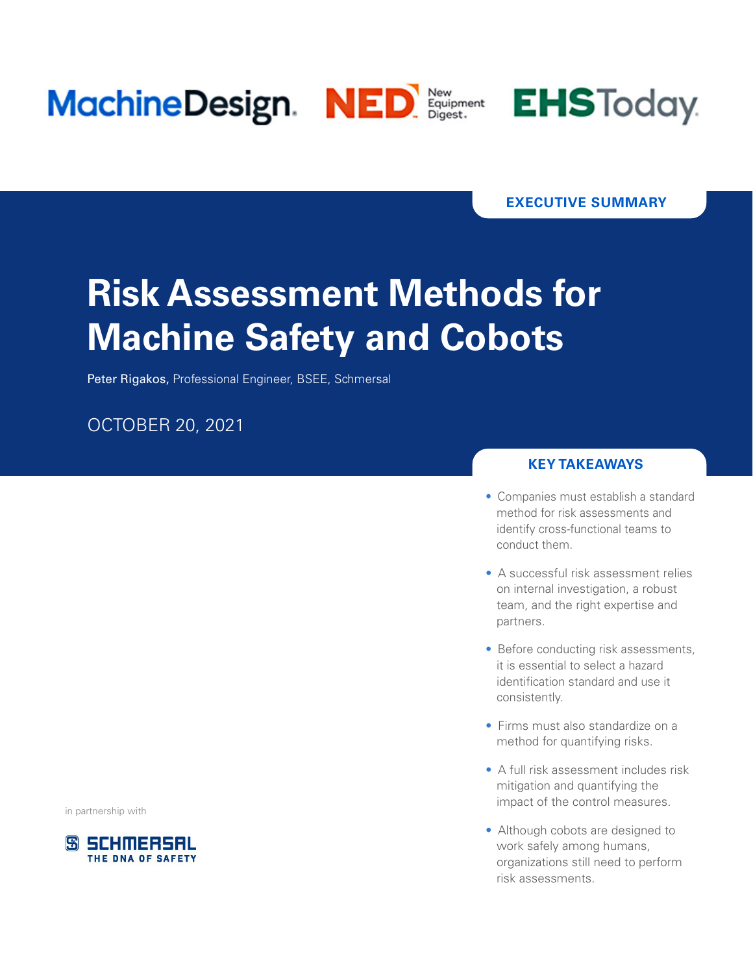



### **EXECUTIVE SUMMARY**

# **Risk Assessment Methods for Machine Safety and Cobots**

Peter Rigakos, Professional Engineer, BSEE, Schmersal

## OCTOBER 20, 2021

in partnership with



#### **KEY TAKEAWAYS**

- Companies must establish a standard method for risk assessments and identify cross-functional teams to conduct them.
- A successful risk assessment relies on internal investigation, a robust team, and the right expertise and partners.
- Before conducting risk assessments, it is essential to select a hazard identification standard and use it consistently.
- Firms must also standardize on a method for quantifying risks.
- A full risk assessment includes risk mitigation and quantifying the impact of the control measures.
- Although cobots are designed to work safely among humans, organizations still need to perform risk assessments.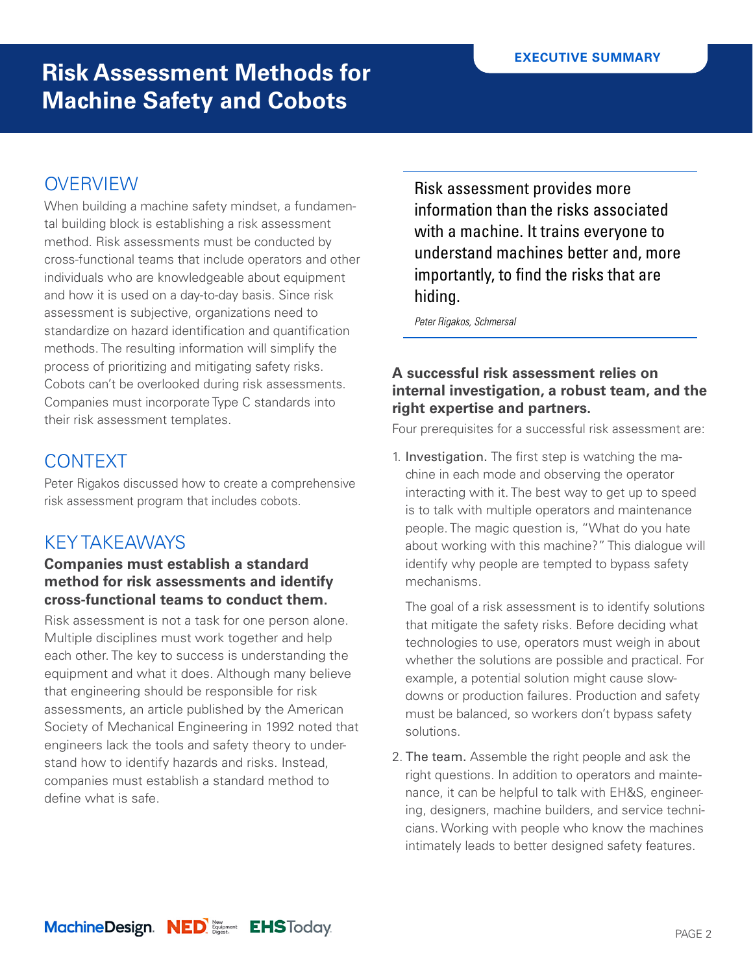# **OVERVIEW**

When building a machine safety mindset, a fundamental building block is establishing a risk assessment method. Risk assessments must be conducted by cross-functional teams that include operators and other individuals who are knowledgeable about equipment and how it is used on a day-to-day basis. Since risk assessment is subjective, organizations need to standardize on hazard identification and quantification methods. The resulting information will simplify the process of prioritizing and mitigating safety risks. Cobots can't be overlooked during risk assessments. Companies must incorporate Type C standards into their risk assessment templates.

# CONTEXT

Peter Rigakos discussed how to create a comprehensive risk assessment program that includes cobots.

# KEY TAKEAWAYS

### **Companies must establish a standard method for risk assessments and identify cross-functional teams to conduct them.**

Risk assessment is not a task for one person alone. Multiple disciplines must work together and help each other. The key to success is understanding the equipment and what it does. Although many believe that engineering should be responsible for risk assessments, an article published by the American Society of Mechanical Engineering in 1992 noted that engineers lack the tools and safety theory to understand how to identify hazards and risks. Instead, companies must establish a standard method to define what is safe.

Risk assessment provides more information than the risks associated with a machine. It trains everyone to understand machines better and, more importantly, to find the risks that are hiding.

*Peter Rigakos, Schmersal*

### **A successful risk assessment relies on internal investigation, a robust team, and the right expertise and partners.**

Four prerequisites for a successful risk assessment are:

1. Investigation. The first step is watching the machine in each mode and observing the operator interacting with it. The best way to get up to speed is to talk with multiple operators and maintenance people. The magic question is, "What do you hate about working with this machine?" This dialogue will identify why people are tempted to bypass safety mechanisms.

The goal of a risk assessment is to identify solutions that mitigate the safety risks. Before deciding what technologies to use, operators must weigh in about whether the solutions are possible and practical. For example, a potential solution might cause slowdowns or production failures. Production and safety must be balanced, so workers don't bypass safety solutions.

2. The team. Assemble the right people and ask the right questions. In addition to operators and maintenance, it can be helpful to talk with EH&S, engineering, designers, machine builders, and service technicians. Working with people who know the machines intimately leads to better designed safety features.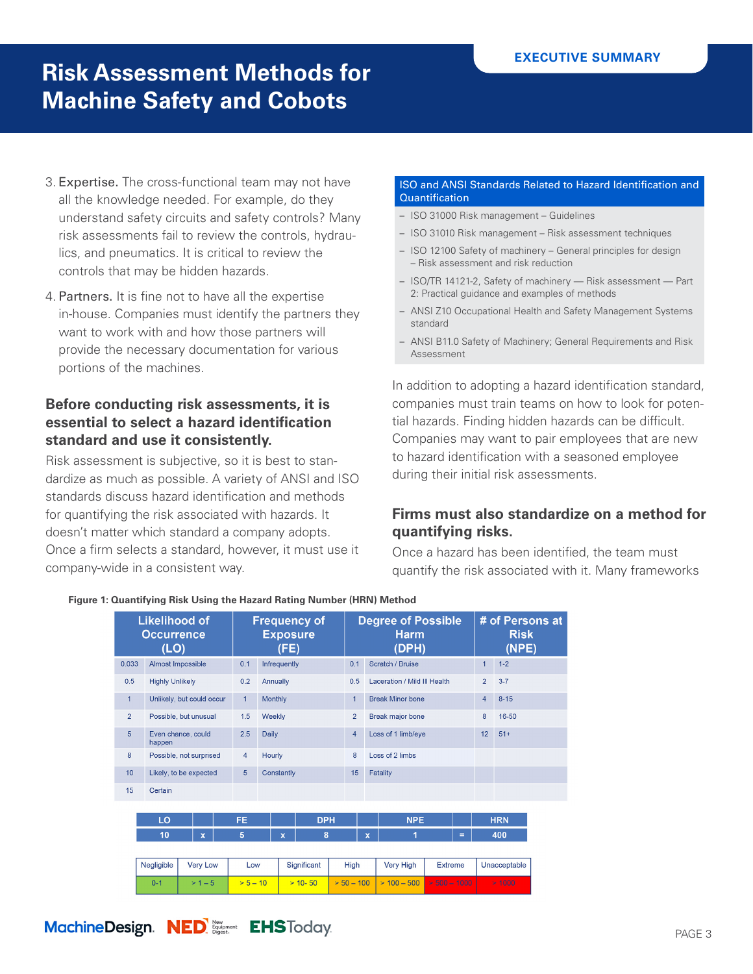- 3. Expertise. The cross-functional team may not have all the knowledge needed. For example, do they understand safety circuits and safety controls? Many risk assessments fail to review the controls, hydraulics, and pneumatics. It is critical to review the controls that may be hidden hazards.
- 4. Partners. It is fine not to have all the expertise in-house. Companies must identify the partners they want to work with and how those partners will provide the necessary documentation for various portions of the machines.

### **Before conducting risk assessments, it is essential to select a hazard identification standard and use it consistently.**

Risk assessment is subjective, so it is best to standardize as much as possible. A variety of ANSI and ISO standards discuss hazard identification and methods for quantifying the risk associated with hazards. It doesn't matter which standard a company adopts. Once a firm selects a standard, however, it must use it company-wide in a consistent way.

#### ISO and ANSI Standards Related to Hazard Identification and **Quantification**

- ISO 31000 Risk management Guidelines
- ISO 31010 Risk management Risk assessment techniques
- ISO 12100 Safety of machinery General principles for design – Risk assessment and risk reduction
- ISO/TR 14121-2, Safety of machinery Risk assessment Part 2: Practical guidance and examples of methods
- ANSI Z10 Occupational Health and Safety Management Systems standard
- ANSI B11.0 Safety of Machinery; General Requirements and Risk Assessment

In addition to adopting a hazard identification standard, companies must train teams on how to look for potential hazards. Finding hidden hazards can be difficult. Companies may want to pair employees that are new to hazard identification with a seasoned employee during their initial risk assessments.

### **Firms must also standardize on a method for quantifying risks.**

Once a hazard has been identified, the team must quantify the risk associated with it. Many frameworks

| <b>Likelihood of</b><br><b>Occurrence</b><br>(LO) |                |                        |                           |              | <b>Frequency of</b><br><b>Exposure</b><br>(FE) |                |              |             |              | <b>Degree of Possible</b><br><b>Harm</b><br>(DPH) |                |               |                              | # of Persons at<br><b>Risk</b><br>(NPE) |        |                |          |  |
|---------------------------------------------------|----------------|------------------------|---------------------------|--------------|------------------------------------------------|----------------|--------------|-------------|--------------|---------------------------------------------------|----------------|---------------|------------------------------|-----------------------------------------|--------|----------------|----------|--|
|                                                   | 0.033          |                        | Almost Impossible         |              |                                                | 0.1            | Infrequently |             |              |                                                   | 0.1            |               | Scratch / Bruise             |                                         |        | $\mathbf{1}$   | $1 - 2$  |  |
|                                                   | 0.5            |                        | <b>Highly Unlikely</b>    |              |                                                |                | Annually     |             |              |                                                   | 0.5            |               | Laceration / Mild III Health |                                         |        | $\overline{2}$ | $3 - 7$  |  |
|                                                   | $\mathbf{1}$   |                        | Unlikely, but could occur |              |                                                |                | Monthly      |             |              |                                                   | $\mathbf{1}$   |               | <b>Break Minor bone</b>      |                                         |        | $\overline{4}$ | $8 - 15$ |  |
|                                                   | $\overline{2}$ |                        | Possible, but unusual     |              |                                                |                | Weekly       |             |              |                                                   | $\overline{2}$ |               | <b>Break major bone</b>      |                                         |        | 8              | 16-50    |  |
|                                                   | 5              | happen                 | Even chance, could        |              |                                                |                | <b>Daily</b> |             |              |                                                   | $\overline{4}$ |               | Loss of 1 limb/eye           |                                         |        | 12             | $51+$    |  |
|                                                   | 8              |                        | Possible, not surprised   |              |                                                |                | Hourly       |             |              |                                                   | 8              |               | Loss of 2 limbs              |                                         |        |                |          |  |
|                                                   | 10             | Likely, to be expected |                           |              |                                                | $\overline{5}$ | Constantly   |             |              |                                                   | 15             | Fatality      |                              |                                         |        |                |          |  |
|                                                   | 15             | Certain                |                           |              |                                                |                |              |             |              |                                                   |                |               |                              |                                         |        |                |          |  |
|                                                   |                |                        |                           |              |                                                |                |              |             |              |                                                   |                |               |                              |                                         |        |                |          |  |
|                                                   |                | LO                     |                           |              |                                                | FE.            |              | <b>DPH</b>  |              |                                                   |                |               | <b>NPE</b>                   |                                         |        | <b>HRN</b>     |          |  |
|                                                   |                | 10                     |                           | $\mathbf{x}$ |                                                | 5              |              | $\mathbf x$ | 8            |                                                   | $\mathbf x$    |               | 1                            |                                         | Ξ      |                | 400      |  |
|                                                   |                |                        |                           |              |                                                |                |              |             |              |                                                   |                |               |                              |                                         |        |                |          |  |
|                                                   |                | Negligible             |                           | Very Low     |                                                | Low            |              | Significant |              | High                                              |                | Very High     | <b>Extreme</b>               |                                         |        | Unacceptable   |          |  |
|                                                   |                | $> 1 - 5$<br>$0 - 1$   |                           |              | $> 5 - 10$                                     |                | $> 10 - 50$  |             | $> 50 - 100$ |                                                   |                | $> 100 - 500$ | $>$ 500 $-$ 1000             |                                         | > 1000 |                |          |  |

#### **Figure 1: Quantifying Risk Using the Hazard Rating Number (HRN) Method**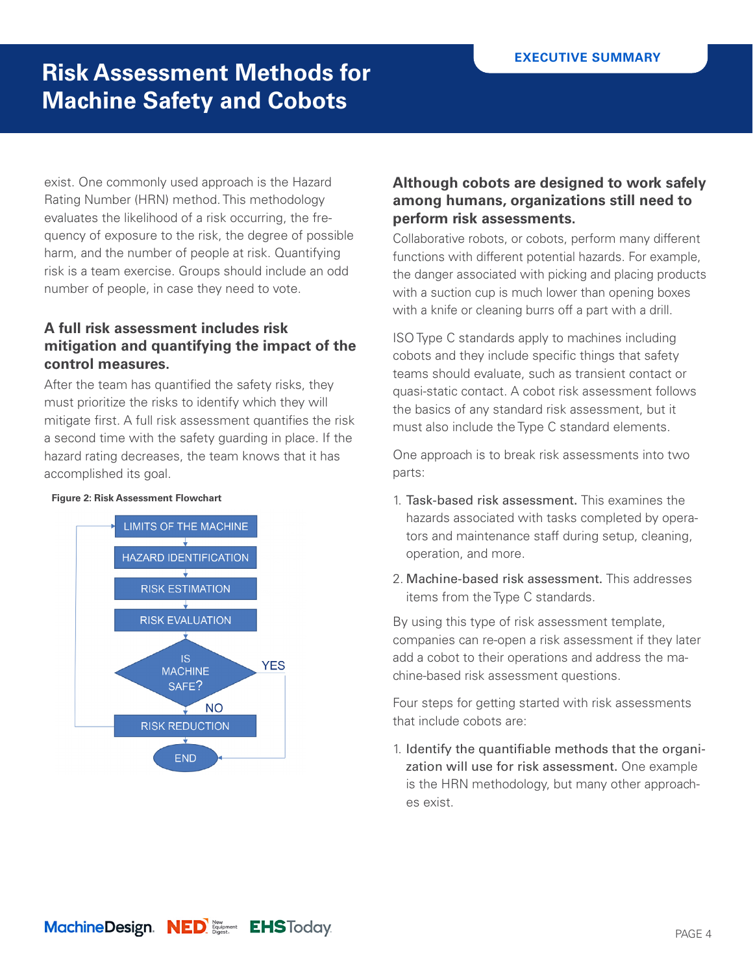exist. One commonly used approach is the Hazard Rating Number (HRN) method. This methodology evaluates the likelihood of a risk occurring, the frequency of exposure to the risk, the degree of possible harm, and the number of people at risk. Quantifying risk is a team exercise. Groups should include an odd number of people, in case they need to vote.

### **A full risk assessment includes risk mitigation and quantifying the impact of the control measures.**

After the team has quantified the safety risks, they must prioritize the risks to identify which they will mitigate first. A full risk assessment quantifies the risk a second time with the safety guarding in place. If the hazard rating decreases, the team knows that it has accomplished its goal.

#### **Figure 2: Risk Assessment Flowchart**



### **Although cobots are designed to work safely among humans, organizations still need to perform risk assessments.**

Collaborative robots, or cobots, perform many different functions with different potential hazards. For example, the danger associated with picking and placing products with a suction cup is much lower than opening boxes with a knife or cleaning burrs off a part with a drill.

ISO Type C standards apply to machines including cobots and they include specific things that safety teams should evaluate, such as transient contact or quasi-static contact. A cobot risk assessment follows the basics of any standard risk assessment, but it must also include the Type C standard elements.

One approach is to break risk assessments into two parts:

- 1. Task-based risk assessment. This examines the hazards associated with tasks completed by operators and maintenance staff during setup, cleaning, operation, and more.
- 2. Machine-based risk assessment. This addresses items from the Type C standards.

By using this type of risk assessment template, companies can re-open a risk assessment if they later add a cobot to their operations and address the machine-based risk assessment questions.

Four steps for getting started with risk assessments that include cobots are:

1. Identify the quantifiable methods that the organization will use for risk assessment. One example is the HRN methodology, but many other approaches exist.

MachineDesign. NED Support EHSToday.